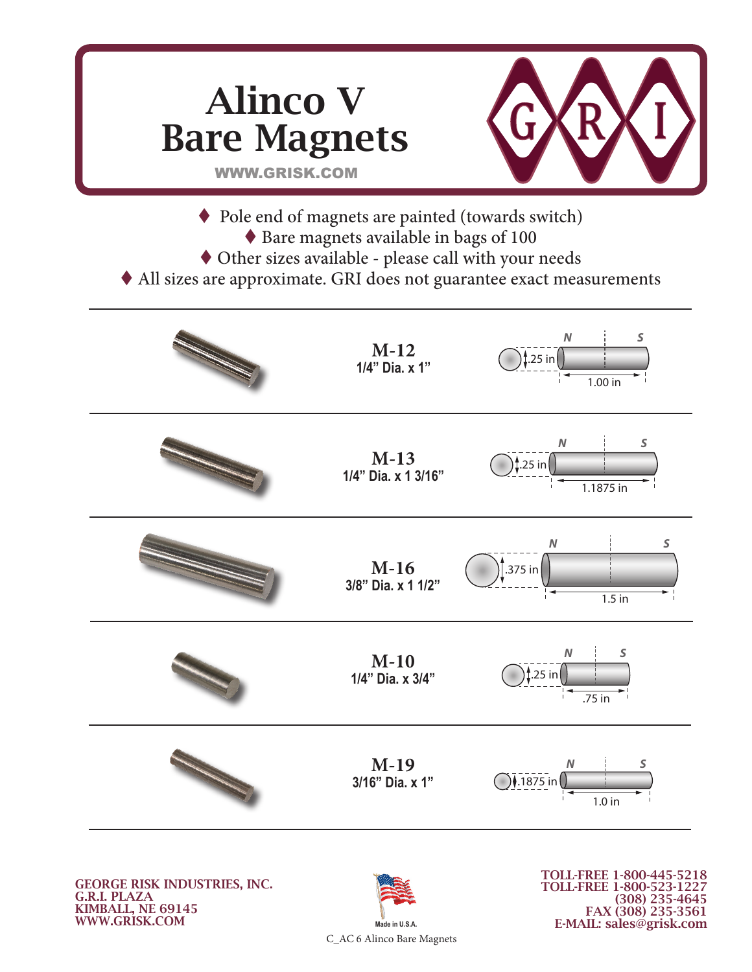

GEORGE RISK INDUSTRIES, INC. G.R.I. PLAZA KIMBALL, NE 69145 WWW.GRISK.COM



TOLL-FREE 1-800-445-5218 TOLL-FREE 1-800-523-1227 (308) 235-4645 FAX (308) 235-3561 E-MAIL: sales@grisk.com